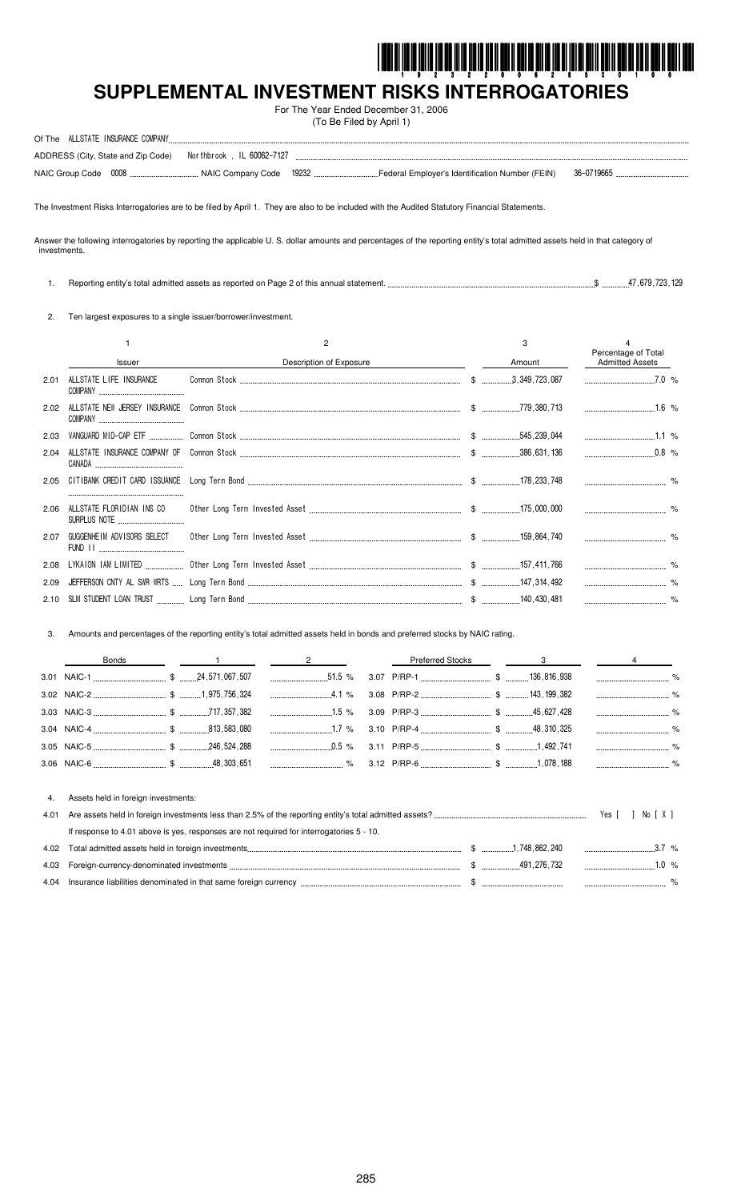

# SUPPLEMENTAL INVESTMENT RISKS INTERROGATORIES

For The Year Ended December 31, 2006 (To Be Filed by April 1)

| ALLSTATE INSURANCE COMPANY<br>Of The |                                                              |  |            |  |
|--------------------------------------|--------------------------------------------------------------|--|------------|--|
|                                      | ADDRESS (City, State and Zip Code) Northbrook, IL 60062-7127 |  |            |  |
|                                      |                                                              |  | 36-0719665 |  |

The Investment Risks Interrogatories are to be filed by April 1. They are also to be included with the Audited Statutory Financial Statements.

Answer the following interrogatories by reporting the applicable U. S. dollar amounts and percentages of the reporting entity's total admitted assets held in that category of investments.

1. Reporting entity's total admitted assets as reported on Page 2 of this annual statement. ...  $$$   $$$   $$$   $47,679,723,129$ 

2. Ten largest exposures to a single issuer/borrower/investment.

4. Assets held in foreign investments:

|      |                                           | 2                       | 3      | Percentage of Total |  |
|------|-------------------------------------------|-------------------------|--------|---------------------|--|
|      | <b>Issuer</b>                             | Description of Exposure | Amount | Admitted Assets     |  |
| 2.01 | ALLSTATE LIFE INSURANCE                   |                         |        | $7.0\%$             |  |
| 2.02 |                                           |                         |        | $1.6\%$             |  |
| 2.03 |                                           |                         |        | $1.1\%$             |  |
| 2.04 |                                           |                         |        |                     |  |
|      |                                           |                         |        |                     |  |
| 2.06 | ALLSTATE FLORIDIAN INS CO<br>SURPLUS NOTE |                         |        |                     |  |
| 2.07 | GUGGENHEIM ADVISORS SELECT                |                         |        |                     |  |
|      |                                           |                         |        |                     |  |
| 2.09 |                                           |                         |        |                     |  |
|      |                                           |                         |        |                     |  |

Amounts and percentages of the reporting entity's total admitted assets held in bonds and preferred stocks by NAIC rating.  $3.$ 

| Bonds |  | $\sim$ 1 and 2 | Preferred Stocks 3 3 4 |  |  |
|-------|--|----------------|------------------------|--|--|
|       |  |                |                        |  |  |
|       |  |                |                        |  |  |
|       |  |                |                        |  |  |
|       |  |                |                        |  |  |
|       |  |                |                        |  |  |
|       |  |                |                        |  |  |
|       |  |                |                        |  |  |

| If response to 4.01 above is yes, responses are not required for interrogatories 5 - 10. |  |  |  |  |  |  |
|------------------------------------------------------------------------------------------|--|--|--|--|--|--|
|                                                                                          |  |  |  |  |  |  |
|                                                                                          |  |  |  |  |  |  |
|                                                                                          |  |  |  |  |  |  |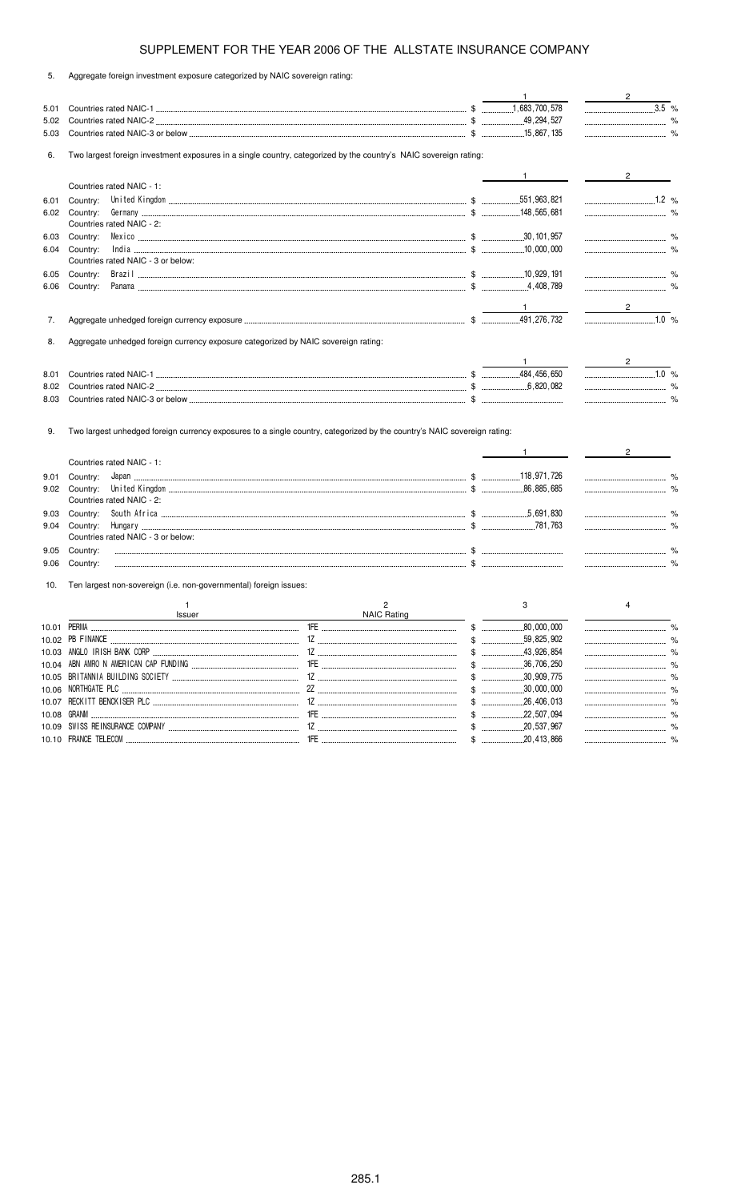5. Aggregate foreign investment exposure categorized by NAIC sovereign rating:

|      |                                                                                                                          |                                                                                  | $\mathbf{1}$                                                                                 | $\overline{2}$                               |
|------|--------------------------------------------------------------------------------------------------------------------------|----------------------------------------------------------------------------------|----------------------------------------------------------------------------------------------|----------------------------------------------|
| 5.01 |                                                                                                                          |                                                                                  |                                                                                              | $\overline{\hspace{1.5cm}3.5}$ %             |
| 5.02 |                                                                                                                          |                                                                                  |                                                                                              |                                              |
| 5.03 |                                                                                                                          |                                                                                  |                                                                                              |                                              |
| 6.   | Two largest foreign investment exposures in a single country, categorized by the country's NAIC sovereign rating:        |                                                                                  |                                                                                              |                                              |
|      |                                                                                                                          |                                                                                  | $\frac{1}{\sqrt{1-\frac{1}{2}}}\frac{1}{\sqrt{1-\frac{1}{2}}\frac{1}{\sqrt{1-\frac{1}{2}}}}$ | $2^{\circ}$                                  |
|      | Countries rated NAIC - 1:                                                                                                |                                                                                  |                                                                                              |                                              |
| 6.01 | Country:                                                                                                                 |                                                                                  |                                                                                              |                                              |
| 6.02 | Country:                                                                                                                 |                                                                                  |                                                                                              |                                              |
|      | Countries rated NAIC - 2:                                                                                                |                                                                                  |                                                                                              |                                              |
| 6.03 | Country:                                                                                                                 |                                                                                  |                                                                                              |                                              |
| 6.04 | Country:                                                                                                                 |                                                                                  |                                                                                              |                                              |
|      | Countries rated NAIC - 3 or below:                                                                                       |                                                                                  |                                                                                              |                                              |
| 6.05 | Country:                                                                                                                 |                                                                                  |                                                                                              |                                              |
| 6.06 | Country:                                                                                                                 |                                                                                  |                                                                                              |                                              |
|      |                                                                                                                          |                                                                                  |                                                                                              | $2 \left( \frac{1}{2} \right)$               |
| 7.   |                                                                                                                          |                                                                                  |                                                                                              | $1.0 \%$                                     |
| 8.   | Aggregate unhedged foreign currency exposure categorized by NAIC sovereign rating:                                       |                                                                                  |                                                                                              |                                              |
|      |                                                                                                                          |                                                                                  |                                                                                              | $\frac{2}{\sqrt{2}}$                         |
| 8.01 |                                                                                                                          |                                                                                  |                                                                                              | $1.0\%$                                      |
| 8.02 |                                                                                                                          |                                                                                  |                                                                                              |                                              |
| 8.03 |                                                                                                                          |                                                                                  |                                                                                              |                                              |
| 9.   | Two largest unhedged foreign currency exposures to a single country, categorized by the country's NAIC sovereign rating: |                                                                                  |                                                                                              |                                              |
|      | Countries rated NAIC - 1:                                                                                                |                                                                                  | $\mathbf{1}$                                                                                 | $2 \left( \frac{1}{2} \right)$               |
| 9.01 | Country:                                                                                                                 |                                                                                  |                                                                                              |                                              |
| 9.02 | Country:                                                                                                                 | 0,885,685 (1,986, 885,685 (1,985, 885,685 (1,986, 885,685 (1,986) United Kingdom |                                                                                              |                                              |
|      | Countries rated NAIC - 2:                                                                                                |                                                                                  |                                                                                              |                                              |
| 9.03 | Country:                                                                                                                 |                                                                                  |                                                                                              |                                              |
| 9.04 | Country:                                                                                                                 |                                                                                  |                                                                                              |                                              |
|      | Countries rated NAIC - 3 or below:                                                                                       |                                                                                  |                                                                                              |                                              |
| 9.05 | Country:                                                                                                                 |                                                                                  |                                                                                              |                                              |
| 9.06 | Country:                                                                                                                 |                                                                                  |                                                                                              |                                              |
| 10.  | Ten largest non-sovereign (i.e. non-governmental) foreign issues:                                                        |                                                                                  |                                                                                              |                                              |
|      | $\mathbf{1}$                                                                                                             | $\overline{2}$                                                                   | 3                                                                                            | $\overline{4}$                               |
|      |                                                                                                                          | Issuer NAIC Rating                                                               |                                                                                              |                                              |
|      |                                                                                                                          |                                                                                  |                                                                                              |                                              |
|      |                                                                                                                          |                                                                                  |                                                                                              |                                              |
|      |                                                                                                                          |                                                                                  |                                                                                              |                                              |
|      |                                                                                                                          |                                                                                  |                                                                                              |                                              |
|      |                                                                                                                          |                                                                                  |                                                                                              |                                              |
|      |                                                                                                                          |                                                                                  |                                                                                              |                                              |
|      |                                                                                                                          |                                                                                  |                                                                                              | ------------------------------------<br>$\%$ |

10.10 .-)/0, 5,2,03 ., \$ -- %

507,

537,

 %

 %

10.08 -)/ ., \$ -

10.09 &7&& -,/&-)/0, 03#)/6 1 \$ -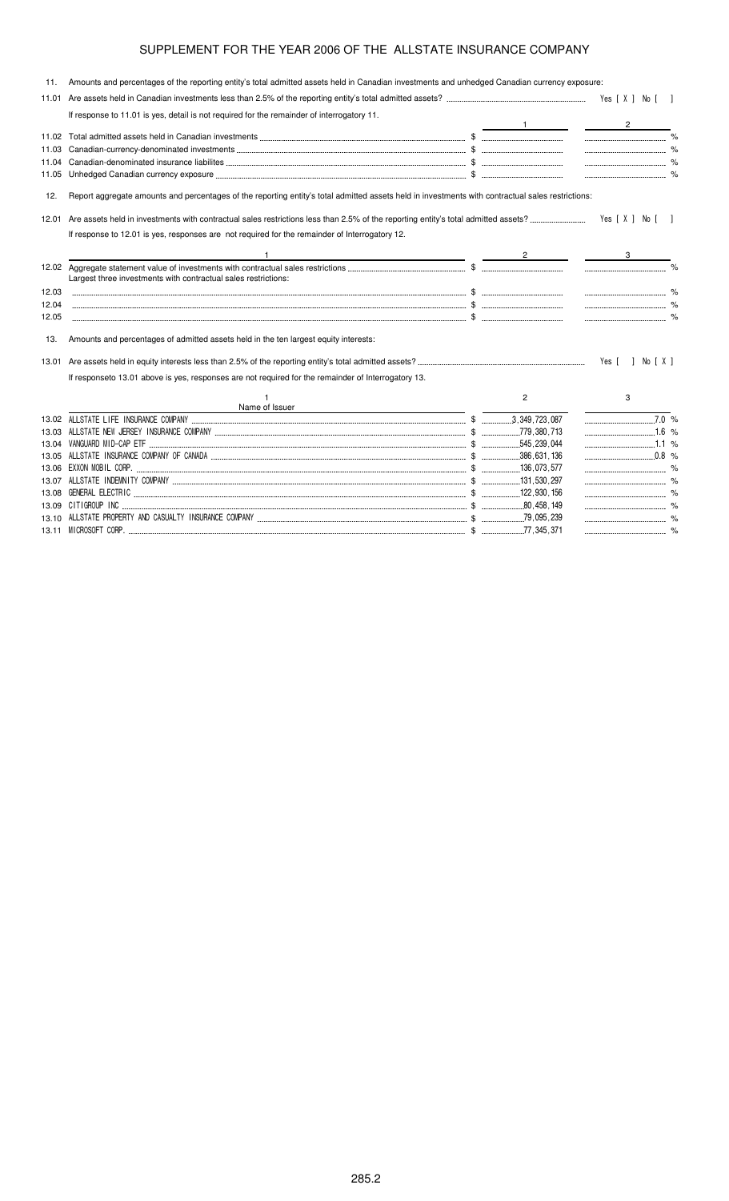| 11.   | Amounts and percentages of the reporting entity's total admitted assets held in Canadian investments and unhedged Canadian currency exposure:                                                                                        |                |                    |  |
|-------|--------------------------------------------------------------------------------------------------------------------------------------------------------------------------------------------------------------------------------------|----------------|--------------------|--|
| 11.01 |                                                                                                                                                                                                                                      |                |                    |  |
|       | If response to 11.01 is yes, detail is not required for the remainder of interrogatory 11.                                                                                                                                           |                | $\frac{2}{2}$      |  |
|       |                                                                                                                                                                                                                                      |                |                    |  |
| 11.03 |                                                                                                                                                                                                                                      |                |                    |  |
|       |                                                                                                                                                                                                                                      |                |                    |  |
|       |                                                                                                                                                                                                                                      |                |                    |  |
| 12.   | Report aggregate amounts and percentages of the reporting entity's total admitted assets held in investments with contractual sales restrictions:                                                                                    |                |                    |  |
| 12.01 |                                                                                                                                                                                                                                      |                | Yes [X ] No [ ]    |  |
|       | If response to 12.01 is yes, responses are not required for the remainder of Interrogatory 12.                                                                                                                                       |                |                    |  |
|       |                                                                                                                                                                                                                                      |                |                    |  |
|       | Largest three investments with contractual sales restrictions:                                                                                                                                                                       |                |                    |  |
| 12.03 |                                                                                                                                                                                                                                      |                |                    |  |
| 12.04 |                                                                                                                                                                                                                                      |                |                    |  |
| 12.05 |                                                                                                                                                                                                                                      |                |                    |  |
| 13.   | Amounts and percentages of admitted assets held in the ten largest equity interests:                                                                                                                                                 |                |                    |  |
| 13.01 |                                                                                                                                                                                                                                      |                | Yes [ ] No [ X ]   |  |
|       | If responseto 13.01 above is yes, responses are not required for the remainder of Interrogatory 13.                                                                                                                                  |                |                    |  |
|       | Name of Issuer                                                                                                                                                                                                                       | $\overline{2}$ | 3                  |  |
|       |                                                                                                                                                                                                                                      |                | $\overline{7.0}$ % |  |
| 13.03 |                                                                                                                                                                                                                                      |                | 1.6 %              |  |
|       |                                                                                                                                                                                                                                      |                |                    |  |
|       |                                                                                                                                                                                                                                      |                | $\ldots$ 0.8 %     |  |
|       |                                                                                                                                                                                                                                      |                |                    |  |
|       |                                                                                                                                                                                                                                      |                |                    |  |
|       | 13.08 GENERAL ELECTRIC <b>www.warehouse.com/information.com/information</b> .com/information.com/information.com/information.com/information.com/information.com/information.com/information.com/information.com/information.com/inf |                |                    |  |
|       |                                                                                                                                                                                                                                      |                |                    |  |

\$ ( %

13.10 ALLSTATE PROPERTY AND CASUALTY INSURANCE COMPA

13.11  \$ (" %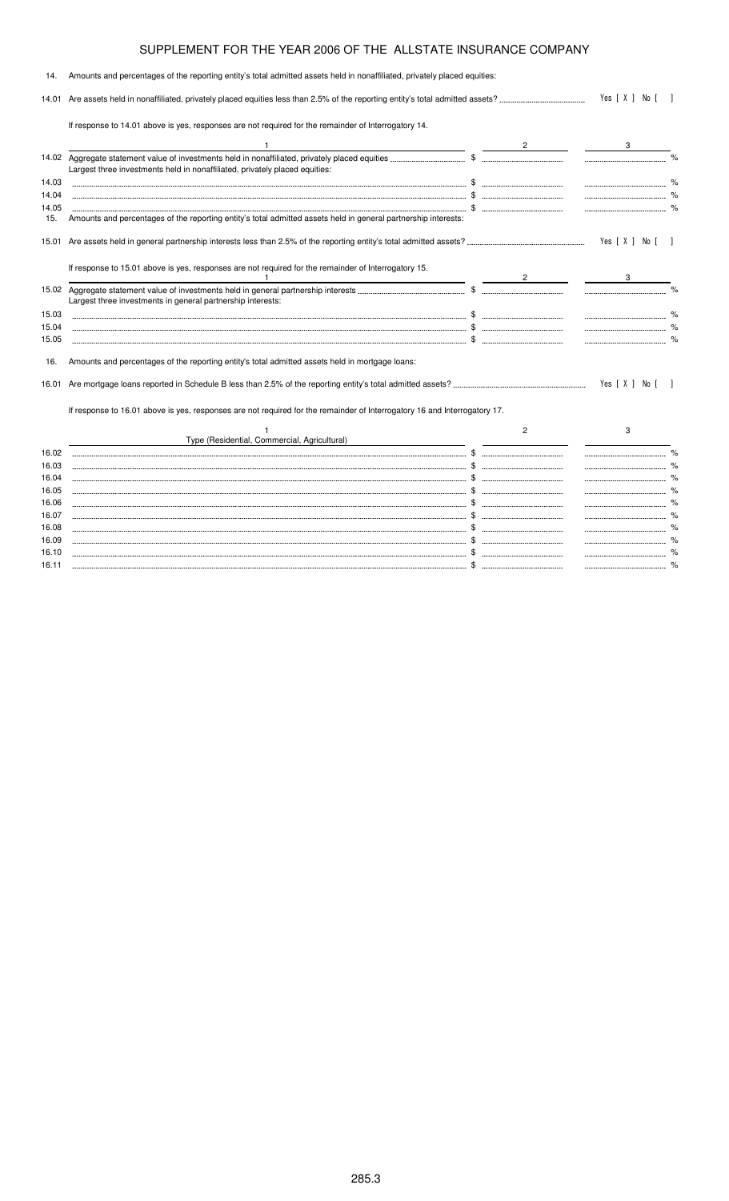| 14.   | Amounts and percentages of the reporting entity's total admitted assets held in nonaffiliated, privately placed equities: |  |                |                                       |  |
|-------|---------------------------------------------------------------------------------------------------------------------------|--|----------------|---------------------------------------|--|
| 14.01 |                                                                                                                           |  | Yes [ X ] No [ |                                       |  |
|       | If response to 14.01 above is yes, responses are not required for the remainder of Interrogatory 14.                      |  |                |                                       |  |
|       |                                                                                                                           |  |                |                                       |  |
| 14.02 | Largest three investments held in nonaffiliated, privately placed equities:                                               |  |                |                                       |  |
| 14.03 |                                                                                                                           |  |                |                                       |  |
| 14.04 |                                                                                                                           |  |                |                                       |  |
| 14.05 |                                                                                                                           |  |                | ------------------------------------- |  |
| 15.   | Amounts and percentages of the reporting entity's total admitted assets held in general partnership interests:            |  |                |                                       |  |
| 15.01 |                                                                                                                           |  |                | Yes [ X ] No [ ]                      |  |
|       | If response to 15.01 above is yes, responses are not required for the remainder of Interrogatory 15.                      |  |                |                                       |  |
|       | Largest three investments in general partnership interests:                                                               |  |                |                                       |  |
| 15.03 |                                                                                                                           |  |                | --------------------------------      |  |
| 15.04 |                                                                                                                           |  |                |                                       |  |
| 15.05 |                                                                                                                           |  |                |                                       |  |
| 16.   | Amounts and percentages of the reporting entity's total admitted assets held in mortgage loans:                           |  |                |                                       |  |
| 16.01 |                                                                                                                           |  |                | Yes [ X ] No [                        |  |
|       | If response to 16.01 above is yes, responses are not required for the remainder of Interrogatory 16 and Interrogatory 17. |  |                |                                       |  |
|       |                                                                                                                           |  | 2              | 3                                     |  |
|       | Type (Residential, Commercial, Agricultural)                                                                              |  |                |                                       |  |
| 16.02 |                                                                                                                           |  |                |                                       |  |
| 16.03 |                                                                                                                           |  |                |                                       |  |
| 16.04 |                                                                                                                           |  |                |                                       |  |
| 16.05 |                                                                                                                           |  |                | ------------------------------------- |  |
| 16.06 |                                                                                                                           |  |                |                                       |  |

16.07 \$ % 16.08 \$ % 16.09 \$ % 16.10 \$ % 16.11 \$ %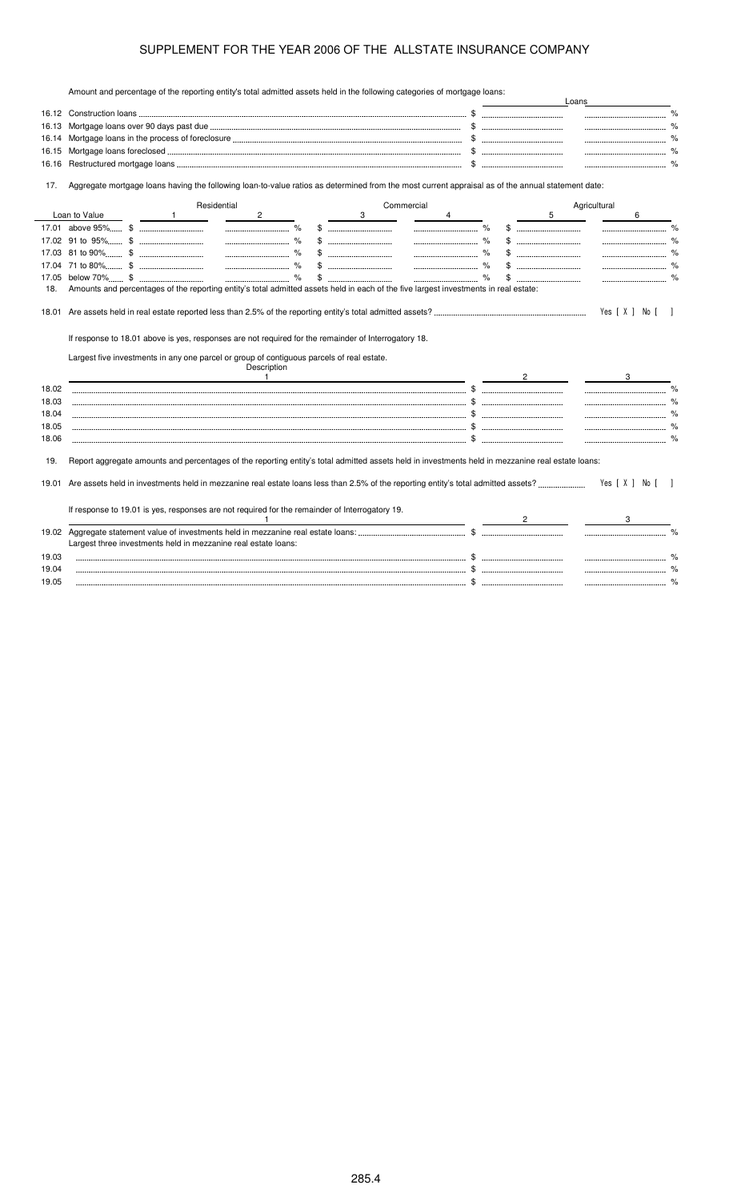Amount and percentage of the reporting entity's total admitted assets held in the following categories of mortgage loans:

|              | Amount and percentage of the reporting emity's total admitted assets held in the following categories of mongage loans.                           |      |    | Loans        |                |               |
|--------------|---------------------------------------------------------------------------------------------------------------------------------------------------|------|----|--------------|----------------|---------------|
|              |                                                                                                                                                   |      |    |              |                |               |
| 16.13        |                                                                                                                                                   |      |    |              |                |               |
| 16.14        |                                                                                                                                                   |      |    |              |                |               |
| 16.15        |                                                                                                                                                   |      |    |              |                |               |
| 16.16        |                                                                                                                                                   | \$   |    |              |                |               |
| 17.          | Aggregate mortgage loans having the following loan-to-value ratios as determined from the most current appraisal as of the annual statement date: |      |    |              |                |               |
|              | Residential<br>Commercial                                                                                                                         |      | 5  | Agricultural |                |               |
|              | Loan to Value<br>$\mathbf{2}$<br>3<br>$\sim$ 1<br>$\overline{4}$<br>%                                                                             | %    |    |              | 6              |               |
|              | -----------------------------<br>-----------------------------                                                                                    |      |    |              |                | $\%$          |
|              | $\%$<br>                                                                                                                                          | $\%$ | \$ |              |                |               |
|              |                                                                                                                                                   | $\%$ |    |              |                | $\%$          |
|              |                                                                                                                                                   |      |    |              |                |               |
| 17.05<br>18. | Amounts and percentages of the reporting entity's total admitted assets held in each of the five largest investments in real estate:              |      |    |              |                |               |
|              | If response to 18.01 above is yes, responses are not required for the remainder of Interrogatory 18.                                              |      |    |              | Yes [ X ] No [ |               |
|              | Largest five investments in any one parcel or group of contiguous parcels of real estate.<br>Description<br>$\mathbf{1}$                          |      |    |              |                |               |
| 18.02        |                                                                                                                                                   |      |    |              |                |               |
| 18.03        |                                                                                                                                                   |      |    |              |                | $\frac{1}{2}$ |
| 18.04        |                                                                                                                                                   |      |    |              |                |               |
| 18.05        |                                                                                                                                                   |      |    |              |                |               |
| 18.06        |                                                                                                                                                   |      |    |              |                |               |
| 19.          | Report aggregate amounts and percentages of the reporting entity's total admitted assets held in investments held in mezzanine real estate loans: |      |    |              |                |               |
| 19.01        |                                                                                                                                                   |      |    |              | Yes [ X ] No [ |               |
|              | If response to 19.01 is yes, responses are not required for the remainder of Interrogatory 19.                                                    |      |    |              |                |               |
|              |                                                                                                                                                   |      |    |              |                |               |
|              | Largest three investments held in mezzanine real estate loans:                                                                                    |      |    |              |                |               |
| 19.03        |                                                                                                                                                   |      |    |              |                |               |
| 19.04        |                                                                                                                                                   |      |    |              |                |               |
| 19.05        |                                                                                                                                                   |      |    |              |                | %             |
|              |                                                                                                                                                   |      |    |              |                |               |